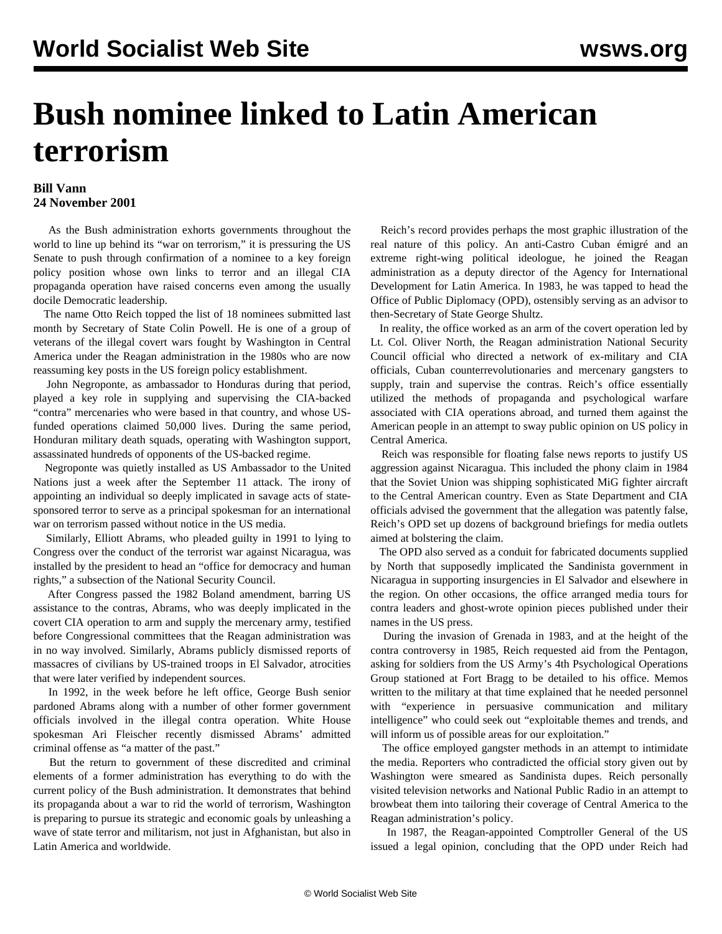## **Bush nominee linked to Latin American terrorism**

## **Bill Vann 24 November 2001**

 As the Bush administration exhorts governments throughout the world to line up behind its "war on terrorism," it is pressuring the US Senate to push through confirmation of a nominee to a key foreign policy position whose own links to terror and an illegal CIA propaganda operation have raised concerns even among the usually docile Democratic leadership.

 The name Otto Reich topped the list of 18 nominees submitted last month by Secretary of State Colin Powell. He is one of a group of veterans of the illegal covert wars fought by Washington in Central America under the Reagan administration in the 1980s who are now reassuming key posts in the US foreign policy establishment.

 John Negroponte, as ambassador to Honduras during that period, played a key role in supplying and supervising the CIA-backed "contra" mercenaries who were based in that country, and whose USfunded operations claimed 50,000 lives. During the same period, Honduran military death squads, operating with Washington support, assassinated hundreds of opponents of the US-backed regime.

 Negroponte was quietly installed as US Ambassador to the United Nations just a week after the September 11 attack. The irony of appointing an individual so deeply implicated in savage acts of statesponsored terror to serve as a principal spokesman for an international war on terrorism passed without notice in the US media.

 Similarly, Elliott Abrams, who pleaded guilty in 1991 to lying to Congress over the conduct of the terrorist war against Nicaragua, was installed by the president to head an "office for democracy and human rights," a subsection of the National Security Council.

 After Congress passed the 1982 Boland amendment, barring US assistance to the contras, Abrams, who was deeply implicated in the covert CIA operation to arm and supply the mercenary army, testified before Congressional committees that the Reagan administration was in no way involved. Similarly, Abrams publicly dismissed reports of massacres of civilians by US-trained troops in El Salvador, atrocities that were later verified by independent sources.

 In 1992, in the week before he left office, George Bush senior pardoned Abrams along with a number of other former government officials involved in the illegal contra operation. White House spokesman Ari Fleischer recently dismissed Abrams' admitted criminal offense as "a matter of the past."

 But the return to government of these discredited and criminal elements of a former administration has everything to do with the current policy of the Bush administration. It demonstrates that behind its propaganda about a war to rid the world of terrorism, Washington is preparing to pursue its strategic and economic goals by unleashing a wave of state terror and militarism, not just in Afghanistan, but also in Latin America and worldwide.

 Reich's record provides perhaps the most graphic illustration of the real nature of this policy. An anti-Castro Cuban émigré and an extreme right-wing political ideologue, he joined the Reagan administration as a deputy director of the Agency for International Development for Latin America. In 1983, he was tapped to head the Office of Public Diplomacy (OPD), ostensibly serving as an advisor to then-Secretary of State George Shultz.

 In reality, the office worked as an arm of the covert operation led by Lt. Col. Oliver North, the Reagan administration National Security Council official who directed a network of ex-military and CIA officials, Cuban counterrevolutionaries and mercenary gangsters to supply, train and supervise the contras. Reich's office essentially utilized the methods of propaganda and psychological warfare associated with CIA operations abroad, and turned them against the American people in an attempt to sway public opinion on US policy in Central America.

 Reich was responsible for floating false news reports to justify US aggression against Nicaragua. This included the phony claim in 1984 that the Soviet Union was shipping sophisticated MiG fighter aircraft to the Central American country. Even as State Department and CIA officials advised the government that the allegation was patently false, Reich's OPD set up dozens of background briefings for media outlets aimed at bolstering the claim.

 The OPD also served as a conduit for fabricated documents supplied by North that supposedly implicated the Sandinista government in Nicaragua in supporting insurgencies in El Salvador and elsewhere in the region. On other occasions, the office arranged media tours for contra leaders and ghost-wrote opinion pieces published under their names in the US press.

 During the invasion of Grenada in 1983, and at the height of the contra controversy in 1985, Reich requested aid from the Pentagon, asking for soldiers from the US Army's 4th Psychological Operations Group stationed at Fort Bragg to be detailed to his office. Memos written to the military at that time explained that he needed personnel with "experience in persuasive communication and military intelligence" who could seek out "exploitable themes and trends, and will inform us of possible areas for our exploitation."

 The office employed gangster methods in an attempt to intimidate the media. Reporters who contradicted the official story given out by Washington were smeared as Sandinista dupes. Reich personally visited television networks and National Public Radio in an attempt to browbeat them into tailoring their coverage of Central America to the Reagan administration's policy.

 In 1987, the Reagan-appointed Comptroller General of the US issued a legal opinion, concluding that the OPD under Reich had